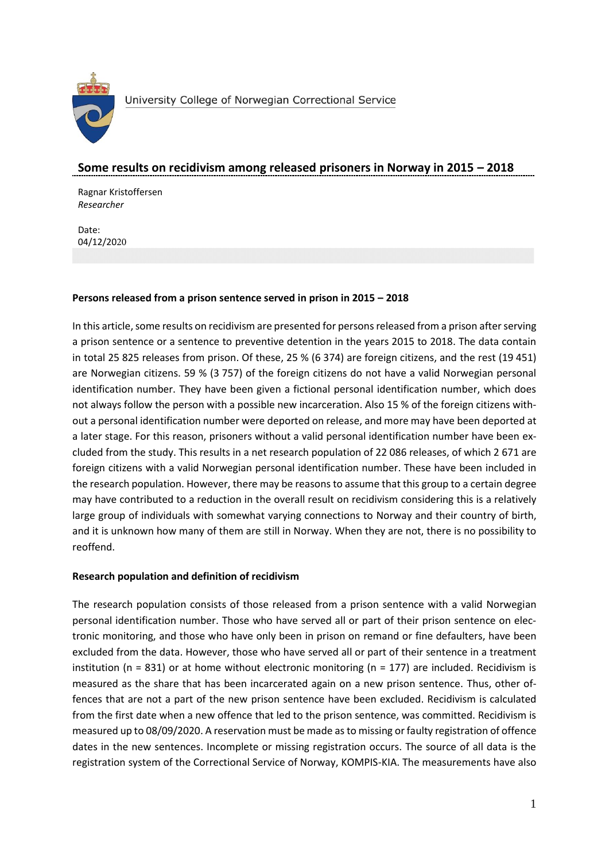

## **Some results on recidivism among released prisoners in Norway in 2015 – 2018**

Ragnar Kristoffersen *Researcher* 

Date: 04/12/2020

## **Persons released from a prison sentence served in prison in 2015 – 2018**

In this article, some results on recidivism are presented for persons released from a prison after serving a prison sentence or a sentence to preventive detention in the years 2015 to 2018. The data contain in total 25 825 releases from prison. Of these, 25 % (6 374) are foreign citizens, and the rest (19 451) are Norwegian citizens. 59 % (3 757) of the foreign citizens do not have a valid Norwegian personal identification number. They have been given a fictional personal identification number, which does not always follow the person with a possible new incarceration. Also 15 % of the foreign citizens without a personal identification number were deported on release, and more may have been deported at a later stage. For this reason, prisoners without a valid personal identification number have been excluded from the study. This results in a net research population of 22 086 releases, of which 2 671 are foreign citizens with a valid Norwegian personal identification number. These have been included in the research population. However, there may be reasons to assume that this group to a certain degree may have contributed to a reduction in the overall result on recidivism considering this is a relatively large group of individuals with somewhat varying connections to Norway and their country of birth, and it is unknown how many of them are still in Norway. When they are not, there is no possibility to reoffend.

## **Research population and definition of recidivism**

The research population consists of those released from a prison sentence with a valid Norwegian personal identification number. Those who have served all or part of their prison sentence on electronic monitoring, and those who have only been in prison on remand or fine defaulters, have been excluded from the data. However, those who have served all or part of their sentence in a treatment institution ( $n = 831$ ) or at home without electronic monitoring ( $n = 177$ ) are included. Recidivism is measured as the share that has been incarcerated again on a new prison sentence. Thus, other offences that are not a part of the new prison sentence have been excluded. Recidivism is calculated from the first date when a new offence that led to the prison sentence, was committed. Recidivism is measured up to 08/09/2020. A reservation must be made as to missing or faulty registration of offence dates in the new sentences. Incomplete or missing registration occurs. The source of all data is the registration system of the Correctional Service of Norway, KOMPIS-KIA. The measurements have also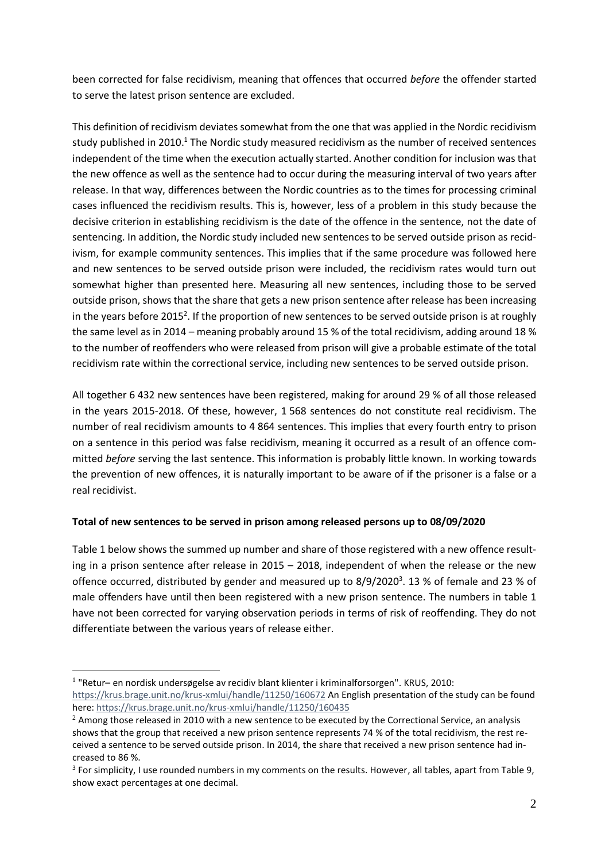been corrected for false recidivism, meaning that offences that occurred *before* the offender started to serve the latest prison sentence are excluded.

This definition of recidivism deviates somewhat from the one that was applied in the Nordic recidivism study published in 2010.<sup>1</sup> The Nordic study measured recidivism as the number of received sentences independent of the time when the execution actually started. Another condition for inclusion was that the new offence as well as the sentence had to occur during the measuring interval of two years after release. In that way, differences between the Nordic countries as to the times for processing criminal cases influenced the recidivism results. This is, however, less of a problem in this study because the decisive criterion in establishing recidivism is the date of the offence in the sentence, not the date of sentencing. In addition, the Nordic study included new sentences to be served outside prison as recidivism, for example community sentences. This implies that if the same procedure was followed here and new sentences to be served outside prison were included, the recidivism rates would turn out somewhat higher than presented here. Measuring all new sentences, including those to be served outside prison, shows that the share that gets a new prison sentence after release has been increasing in the years before 2015<sup>2</sup>. If the proportion of new sentences to be served outside prison is at roughly the same level as in 2014 – meaning probably around 15 % of the total recidivism, adding around 18 % to the number of reoffenders who were released from prison will give a probable estimate of the total recidivism rate within the correctional service, including new sentences to be served outside prison.

All together 6 432 new sentences have been registered, making for around 29 % of all those released in the years 2015-2018. Of these, however, 1 568 sentences do not constitute real recidivism. The number of real recidivism amounts to 4 864 sentences. This implies that every fourth entry to prison on a sentence in this period was false recidivism, meaning it occurred as a result of an offence committed *before* serving the last sentence. This information is probably little known. In working towards the prevention of new offences, it is naturally important to be aware of if the prisoner is a false or a real recidivist.

## **Total of new sentences to be served in prison among released persons up to 08/09/2020**

1

Table 1 below shows the summed up number and share of those registered with a new offence resulting in a prison sentence after release in 2015 – 2018, independent of when the release or the new offence occurred, distributed by gender and measured up to 8/9/2020<sup>3</sup>. 13 % of female and 23 % of male offenders have until then been registered with a new prison sentence. The numbers in table 1 have not been corrected for varying observation periods in terms of risk of reoffending. They do not differentiate between the various years of release either.

<sup>1</sup> "Retur– en nordisk undersøgelse av recidiv blant klienter i kriminalforsorgen". KRUS, 2010: <https://krus.brage.unit.no/krus-xmlui/handle/11250/160672> An English presentation of the study can be found here[: https://krus.brage.unit.no/krus-xmlui/handle/11250/160435](https://krus.brage.unit.no/krus-xmlui/handle/11250/160435)

 $2$  Among those released in 2010 with a new sentence to be executed by the Correctional Service, an analysis shows that the group that received a new prison sentence represents 74 % of the total recidivism, the rest received a sentence to be served outside prison. In 2014, the share that received a new prison sentence had increased to 86 %.

<sup>&</sup>lt;sup>3</sup> For simplicity, I use rounded numbers in my comments on the results. However, all tables, apart from Table 9, show exact percentages at one decimal.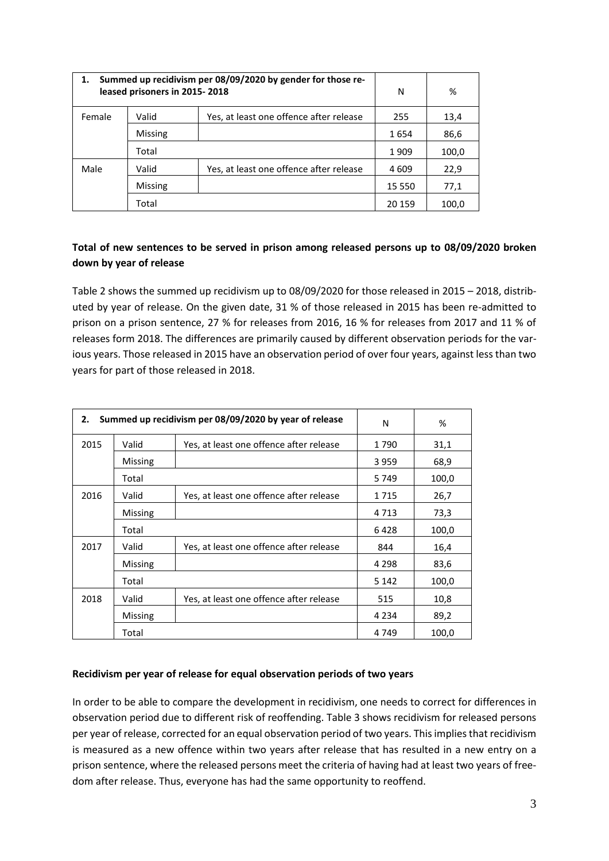| Summed up recidivism per 08/09/2020 by gender for those re-<br>leased prisoners in 2015-2018 |                |                                         | N       | %     |
|----------------------------------------------------------------------------------------------|----------------|-----------------------------------------|---------|-------|
| Female                                                                                       | Valid          | Yes, at least one offence after release | 255     | 13,4  |
|                                                                                              | <b>Missing</b> |                                         | 1654    | 86,6  |
|                                                                                              | Total          |                                         | 1909    | 100,0 |
| Male                                                                                         | Valid          | Yes, at least one offence after release | 4 609   | 22,9  |
|                                                                                              | <b>Missing</b> |                                         | 15 550  | 77,1  |
|                                                                                              | Total          |                                         | 20 15 9 | 100,0 |

# **Total of new sentences to be served in prison among released persons up to 08/09/2020 broken down by year of release**

Table 2 shows the summed up recidivism up to 08/09/2020 for those released in 2015 – 2018, distributed by year of release. On the given date, 31 % of those released in 2015 has been re-admitted to prison on a prison sentence, 27 % for releases from 2016, 16 % for releases from 2017 and 11 % of releases form 2018. The differences are primarily caused by different observation periods for the various years. Those released in 2015 have an observation period of over four years, against less than two years for part of those released in 2018.

| 2.   | Summed up recidivism per 08/09/2020 by year of release |                                         |         | %     |
|------|--------------------------------------------------------|-----------------------------------------|---------|-------|
| 2015 | Valid                                                  | Yes, at least one offence after release |         | 31,1  |
|      | <b>Missing</b>                                         |                                         | 3959    | 68,9  |
|      | Total                                                  |                                         | 5749    | 100,0 |
| 2016 | Valid                                                  | Yes, at least one offence after release | 1715    | 26,7  |
|      | <b>Missing</b>                                         |                                         | 4 7 1 3 | 73,3  |
|      | Total                                                  |                                         | 6428    | 100,0 |
| 2017 | Valid                                                  | Yes, at least one offence after release | 844     | 16,4  |
|      | <b>Missing</b>                                         |                                         | 4 2 9 8 | 83,6  |
|      | Total                                                  |                                         | 5 1 4 2 | 100,0 |
| 2018 | Valid                                                  | Yes, at least one offence after release | 515     | 10,8  |
|      | <b>Missing</b>                                         |                                         | 4 2 3 4 | 89,2  |
|      | Total                                                  |                                         | 4 7 4 9 | 100,0 |

## **Recidivism per year of release for equal observation periods of two years**

In order to be able to compare the development in recidivism, one needs to correct for differences in observation period due to different risk of reoffending. Table 3 shows recidivism for released persons per year of release, corrected for an equal observation period of two years. This implies that recidivism is measured as a new offence within two years after release that has resulted in a new entry on a prison sentence, where the released persons meet the criteria of having had at least two years of freedom after release. Thus, everyone has had the same opportunity to reoffend.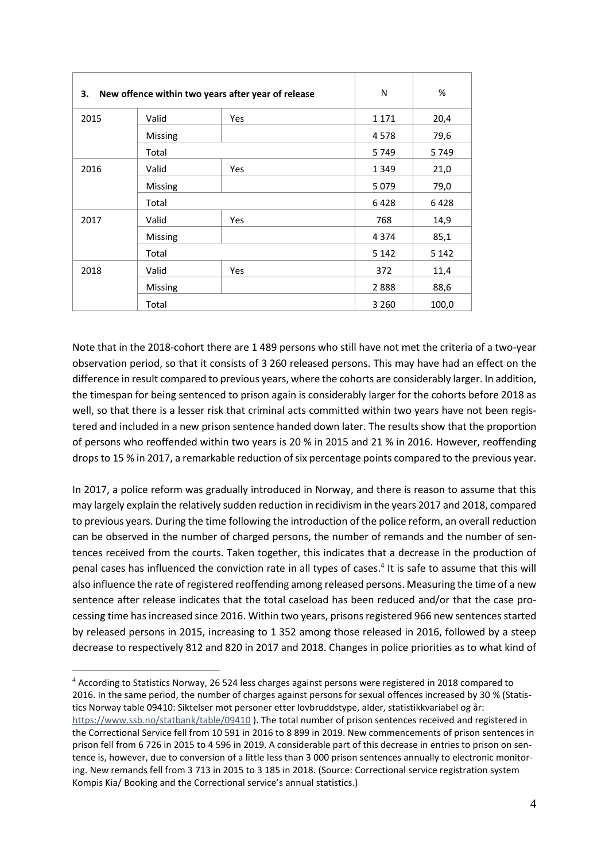| New offence within two years after year of release<br>З. |         | N          | %       |         |
|----------------------------------------------------------|---------|------------|---------|---------|
| 2015                                                     | Valid   | Yes        | 1 1 7 1 | 20,4    |
|                                                          | Missing |            | 4578    | 79,6    |
|                                                          | Total   |            | 5749    | 5749    |
| 2016                                                     | Valid   | <b>Yes</b> | 1 3 4 9 | 21,0    |
|                                                          | Missing |            | 5079    | 79,0    |
|                                                          | Total   |            | 6428    | 6428    |
| 2017                                                     | Valid   | Yes        | 768     | 14,9    |
|                                                          | Missing |            | 4 3 7 4 | 85,1    |
|                                                          | Total   |            | 5 1 4 2 | 5 1 4 2 |
| 2018                                                     | Valid   | Yes        | 372     | 11,4    |
|                                                          | Missing |            | 2888    | 88,6    |
|                                                          | Total   |            | 3 2 6 0 | 100,0   |

Note that in the 2018-cohort there are 1 489 persons who still have not met the criteria of a two-year observation period, so that it consists of 3 260 released persons. This may have had an effect on the difference in result compared to previous years, where the cohorts are considerably larger. In addition, the timespan for being sentenced to prison again is considerably larger for the cohorts before 2018 as well, so that there is a lesser risk that criminal acts committed within two years have not been registered and included in a new prison sentence handed down later. The results show that the proportion of persons who reoffended within two years is 20 % in 2015 and 21 % in 2016. However, reoffending drops to 15 % in 2017, a remarkable reduction of six percentage points compared to the previous year.

In 2017, a police reform was gradually introduced in Norway, and there is reason to assume that this may largely explain the relatively sudden reduction in recidivism in the years 2017 and 2018, compared to previous years. During the time following the introduction of the police reform, an overall reduction can be observed in the number of charged persons, the number of remands and the number of sentences received from the courts. Taken together, this indicates that a decrease in the production of penal cases has influenced the conviction rate in all types of cases. 4 It is safe to assume that this will also influence the rate of registered reoffending among released persons. Measuring the time of a new sentence after release indicates that the total caseload has been reduced and/or that the case processing time has increased since 2016. Within two years, prisons registered 966 new sentences started by released persons in 2015, increasing to 1 352 among those released in 2016, followed by a steep decrease to respectively 812 and 820 in 2017 and 2018. Changes in police priorities as to what kind of

1

<sup>4</sup> According to Statistics Norway, 26 524 less charges against persons were registered in 2018 compared to 2016. In the same period, the number of charges against persons for sexual offences increased by 30 % (Statistics Norway table 09410: Siktelser mot personer etter lovbruddstype, alder, statistikkvariabel og år: <https://www.ssb.no/statbank/table/09410> ). The total number of prison sentences received and registered in the Correctional Service fell from 10 591 in 2016 to 8 899 in 2019. New commencements of prison sentences in prison fell from 6 726 in 2015 to 4 596 in 2019. A considerable part of this decrease in entries to prison on sentence is, however, due to conversion of a little less than 3 000 prison sentences annually to electronic monitoring. New remands fell from 3 713 in 2015 to 3 185 in 2018. (Source: Correctional service registration system Kompis Kia/ Booking and the Correctional service's annual statistics.)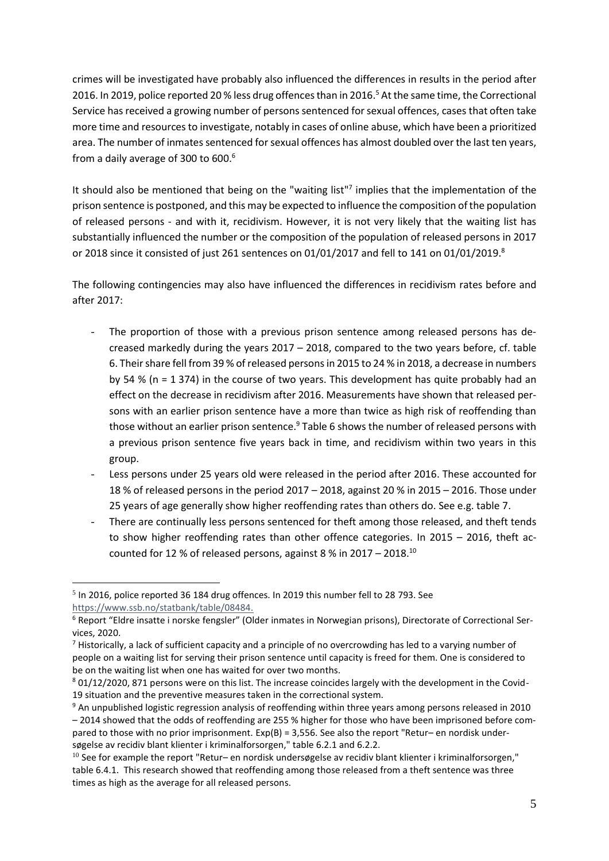crimes will be investigated have probably also influenced the differences in results in the period after 2016. In 2019, police reported 20 % less drug offences than in 2016. <sup>5</sup> At the same time, the Correctional Service has received a growing number of persons sentenced for sexual offences, cases that often take more time and resources to investigate, notably in cases of online abuse, which have been a prioritized area. The number of inmates sentenced for sexual offences has almost doubled over the last ten years, from a daily average of 300 to 600.<sup>6</sup>

It should also be mentioned that being on the "waiting list"<sup>7</sup> implies that the implementation of the prison sentence is postponed, and this may be expected to influence the composition of the population of released persons - and with it, recidivism. However, it is not very likely that the waiting list has substantially influenced the number or the composition of the population of released persons in 2017 or 2018 since it consisted of just 261 sentences on 01/01/2017 and fell to 141 on 01/01/2019.<sup>8</sup>

The following contingencies may also have influenced the differences in recidivism rates before and after 2017:

- The proportion of those with a previous prison sentence among released persons has decreased markedly during the years 2017 – 2018, compared to the two years before, cf. table 6. Their share fell from 39 % of released persons in 2015 to 24 % in 2018, a decrease in numbers by 54 % (n = 1 374) in the course of two years. This development has quite probably had an effect on the decrease in recidivism after 2016. Measurements have shown that released persons with an earlier prison sentence have a more than twice as high risk of reoffending than those without an earlier prison sentence.<sup>9</sup> Table 6 shows the number of released persons with a previous prison sentence five years back in time, and recidivism within two years in this group.
- Less persons under 25 years old were released in the period after 2016. These accounted for 18 % of released persons in the period 2017 – 2018, against 20 % in 2015 – 2016. Those under 25 years of age generally show higher reoffending rates than others do. See e.g. table 7.
- There are continually less persons sentenced for theft among those released, and theft tends to show higher reoffending rates than other offence categories. In 2015 – 2016, theft accounted for 12 % of released persons, against 8 % in 2017 – 2018.<sup>10</sup>

1

 $<sup>5</sup>$  In 2016, police reported 36 184 drug offences. In 2019 this number fell to 28 793. See</sup> [https://www.ssb.no/statbank/table/08484.](https://www.ssb.no/statbank/table/08484)

<sup>&</sup>lt;sup>6</sup> Report "Eldre insatte i norske fengsler" (Older inmates in Norwegian prisons), Directorate of Correctional Services, 2020.

 $<sup>7</sup>$  Historically, a lack of sufficient capacity and a principle of no overcrowding has led to a varying number of</sup> people on a waiting list for serving their prison sentence until capacity is freed for them. One is considered to be on the waiting list when one has waited for over two months.

<sup>8</sup> 01/12/2020, 871 persons were on this list. The increase coincides largely with the development in the Covid-19 situation and the preventive measures taken in the correctional system.

<sup>9</sup> An unpublished logistic regression analysis of reoffending within three years among persons released in 2010 – 2014 showed that the odds of reoffending are 255 % higher for those who have been imprisoned before compared to those with no prior imprisonment. Exp(B) = 3,556. See also the report "Retur– en nordisk undersøgelse av recidiv blant klienter i kriminalforsorgen," table 6.2.1 and 6.2.2.

 $^{10}$  See for example the report "Retur– en nordisk undersøgelse av recidiv blant klienter i kriminalforsorgen." table 6.4.1. This research showed that reoffending among those released from a theft sentence was three times as high as the average for all released persons.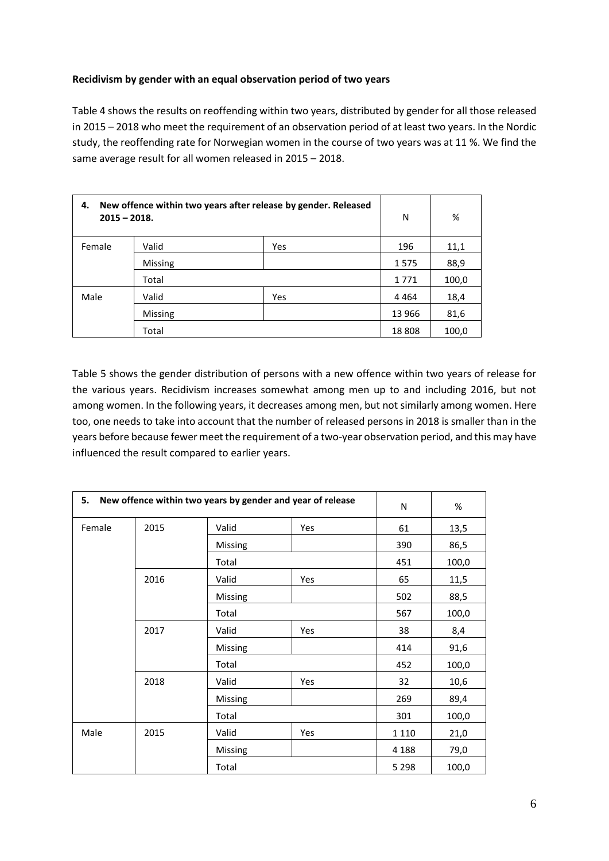## **Recidivism by gender with an equal observation period of two years**

Table 4 shows the results on reoffending within two years, distributed by gender for all those released in 2015 – 2018 who meet the requirement of an observation period of at least two years. In the Nordic study, the reoffending rate for Norwegian women in the course of two years was at 11 %. We find the same average result for all women released in 2015 – 2018.

| New offence within two years after release by gender. Released<br>4.<br>$2015 - 2018.$ |                |     | N       | %     |
|----------------------------------------------------------------------------------------|----------------|-----|---------|-------|
| Female                                                                                 | Valid          | Yes | 196     | 11,1  |
|                                                                                        | <b>Missing</b> |     | 1575    | 88,9  |
|                                                                                        | Total          |     | 1771    | 100,0 |
| Male                                                                                   | Valid          | Yes | 4 4 6 4 | 18,4  |
|                                                                                        | Missing        |     | 13 966  | 81,6  |
|                                                                                        | Total          |     | 18808   | 100,0 |

Table 5 shows the gender distribution of persons with a new offence within two years of release for the various years. Recidivism increases somewhat among men up to and including 2016, but not among women. In the following years, it decreases among men, but not similarly among women. Here too, one needs to take into account that the number of released persons in 2018 is smaller than in the years before because fewer meet the requirement of a two-year observation period, and this may have influenced the result compared to earlier years.

| 5.     | New offence within two years by gender and year of release |         |     | ${\sf N}$ | $\%$  |
|--------|------------------------------------------------------------|---------|-----|-----------|-------|
| Female | 2015                                                       | Valid   | Yes | 61        | 13,5  |
|        |                                                            | Missing |     | 390       | 86,5  |
|        |                                                            | Total   |     | 451       | 100,0 |
|        | 2016                                                       | Valid   | Yes | 65        | 11,5  |
|        |                                                            | Missing |     | 502       | 88,5  |
|        |                                                            | Total   |     | 567       | 100,0 |
|        | 2017                                                       | Valid   | Yes | 38        | 8,4   |
|        |                                                            | Missing |     | 414       | 91,6  |
|        |                                                            | Total   |     | 452       | 100,0 |
|        | 2018                                                       | Valid   | Yes | 32        | 10,6  |
|        |                                                            | Missing |     | 269       | 89,4  |
|        |                                                            | Total   |     | 301       | 100,0 |
| Male   | 2015                                                       | Valid   | Yes | 1 1 1 0   | 21,0  |
|        |                                                            | Missing |     | 4 1 8 8   | 79,0  |
|        |                                                            | Total   |     | 5 2 9 8   | 100,0 |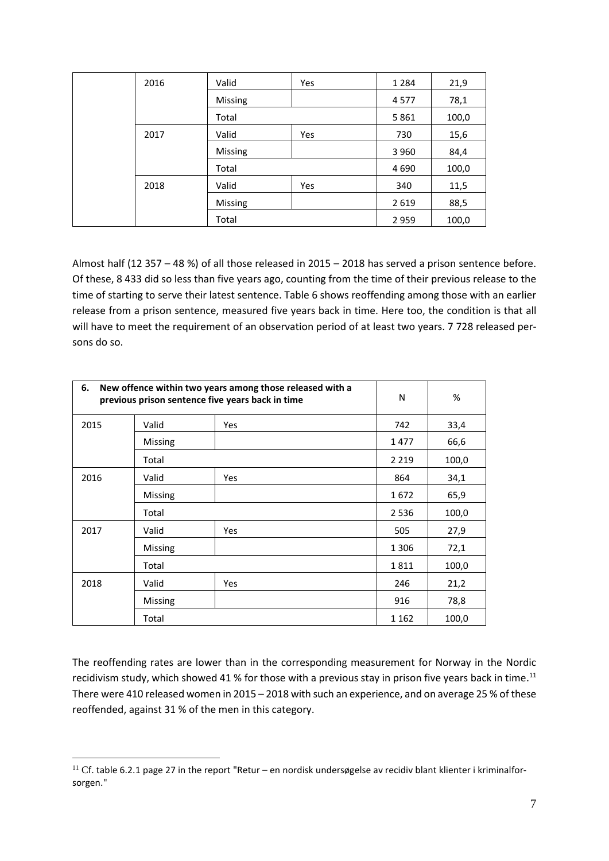| 2016 | Valid          | Yes | 1 2 8 4 | 21,9  |
|------|----------------|-----|---------|-------|
|      | <b>Missing</b> |     | 4577    | 78,1  |
|      | Total          |     | 5861    | 100,0 |
| 2017 | Valid          | Yes | 730     | 15,6  |
|      | <b>Missing</b> |     | 3 9 6 0 | 84,4  |
|      | Total          |     | 4 6 9 0 | 100,0 |
| 2018 | Valid          | Yes | 340     | 11,5  |
|      | <b>Missing</b> |     | 2619    | 88,5  |
|      | Total          |     | 2 9 5 9 | 100,0 |

Almost half (12 357 – 48 %) of all those released in 2015 – 2018 has served a prison sentence before. Of these, 8 433 did so less than five years ago, counting from the time of their previous release to the time of starting to serve their latest sentence. Table 6 shows reoffending among those with an earlier release from a prison sentence, measured five years back in time. Here too, the condition is that all will have to meet the requirement of an observation period of at least two years. 7 728 released persons do so.

| 6.   | New offence within two years among those released with a<br>previous prison sentence five years back in time |            |         | %     |
|------|--------------------------------------------------------------------------------------------------------------|------------|---------|-------|
| 2015 | Valid                                                                                                        | <b>Yes</b> | 742     | 33,4  |
|      | Missing                                                                                                      |            | 1477    | 66,6  |
|      | Total                                                                                                        |            | 2 2 1 9 | 100,0 |
| 2016 | Valid                                                                                                        | <b>Yes</b> | 864     | 34,1  |
|      | Missing                                                                                                      |            | 1672    | 65,9  |
|      | Total                                                                                                        |            | 2536    | 100,0 |
| 2017 | Valid                                                                                                        | <b>Yes</b> | 505     | 27,9  |
|      | Missing                                                                                                      |            | 1 3 0 6 | 72,1  |
|      | Total                                                                                                        |            | 1811    | 100,0 |
| 2018 | Valid                                                                                                        | <b>Yes</b> | 246     | 21,2  |
|      | Missing                                                                                                      |            | 916     | 78,8  |
|      | Total                                                                                                        |            | 1 1 6 2 | 100,0 |

The reoffending rates are lower than in the corresponding measurement for Norway in the Nordic recidivism study, which showed 41 % for those with a previous stay in prison five years back in time.<sup>11</sup> There were 410 released women in 2015 – 2018 with such an experience, and on average 25 % of these reoffended, against 31 % of the men in this category.

1

<sup>&</sup>lt;sup>11</sup> Cf. table 6.2.1 page 27 in the report "Retur – en nordisk undersøgelse av recidiv blant klienter i kriminalforsorgen."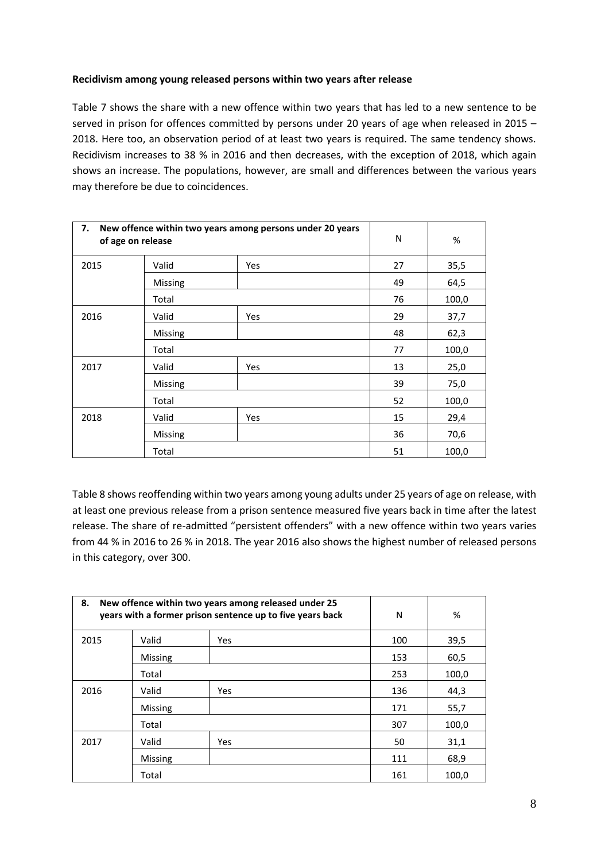#### **Recidivism among young released persons within two years after release**

Table 7 shows the share with a new offence within two years that has led to a new sentence to be served in prison for offences committed by persons under 20 years of age when released in 2015 – 2018. Here too, an observation period of at least two years is required. The same tendency shows. Recidivism increases to 38 % in 2016 and then decreases, with the exception of 2018, which again shows an increase. The populations, however, are small and differences between the various years may therefore be due to coincidences.

| 7.<br>New offence within two years among persons under 20 years<br>of age on release |                | N          | %  |       |
|--------------------------------------------------------------------------------------|----------------|------------|----|-------|
| 2015                                                                                 | Valid          | Yes        | 27 | 35,5  |
|                                                                                      | <b>Missing</b> |            | 49 | 64,5  |
|                                                                                      | Total          |            | 76 | 100,0 |
| 2016                                                                                 | Valid          | <b>Yes</b> | 29 | 37,7  |
|                                                                                      | <b>Missing</b> |            | 48 | 62,3  |
|                                                                                      | Total          |            | 77 | 100,0 |
| 2017                                                                                 | Valid          | Yes        | 13 | 25,0  |
|                                                                                      | Missing        |            | 39 | 75,0  |
|                                                                                      | Total          |            | 52 | 100,0 |
| 2018                                                                                 | Valid          | Yes        | 15 | 29,4  |
|                                                                                      | <b>Missing</b> |            | 36 | 70,6  |
|                                                                                      | Total          |            | 51 | 100,0 |

Table 8 shows reoffending within two years among young adults under 25 years of age on release, with at least one previous release from a prison sentence measured five years back in time after the latest release. The share of re-admitted "persistent offenders" with a new offence within two years varies from 44 % in 2016 to 26 % in 2018. The year 2016 also shows the highest number of released persons in this category, over 300.

| New offence within two years among released under 25<br>8.<br>years with a former prison sentence up to five years back |                |            | N   | %     |
|-------------------------------------------------------------------------------------------------------------------------|----------------|------------|-----|-------|
| 2015                                                                                                                    | Valid          | <b>Yes</b> | 100 | 39,5  |
|                                                                                                                         | <b>Missing</b> |            | 153 | 60,5  |
|                                                                                                                         | Total          |            | 253 | 100,0 |
| 2016                                                                                                                    | Valid          | <b>Yes</b> | 136 | 44,3  |
|                                                                                                                         | <b>Missing</b> |            | 171 | 55,7  |
|                                                                                                                         | Total          |            | 307 | 100,0 |
| 2017                                                                                                                    | Valid          | <b>Yes</b> | 50  | 31,1  |
|                                                                                                                         | <b>Missing</b> |            | 111 | 68,9  |
|                                                                                                                         | Total          |            | 161 | 100,0 |